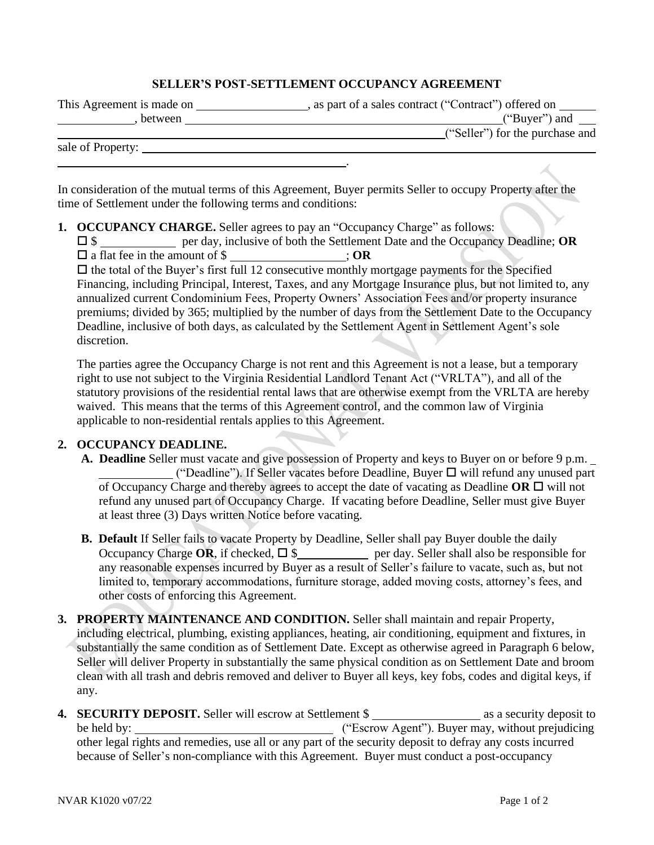## **SELLER'S POST-SETTLEMENT OCCUPANCY AGREEMENT**

| This Agreement is made on | as part of a sales contract ("Contract") offered on |
|---------------------------|-----------------------------------------------------|
| between                   | ("Buyer") and                                       |
|                           | ("Seller") for the purchase and                     |
| sale of Property:         |                                                     |

.

In consideration of the mutual terms of this Agreement, Buyer permits Seller to occupy Property after the time of Settlement under the following terms and conditions:

- **1. OCCUPANCY CHARGE.** Seller agrees to pay an "Occupancy Charge" as follows:
	- \$ per day, inclusive of both the Settlement Date and the Occupancy Deadline; **OR** a flat fee in the amount of \$ ; **OR**

 $\Box$  the total of the Buyer's first full 12 consecutive monthly mortgage payments for the Specified Financing, including Principal, Interest, Taxes, and any Mortgage Insurance plus, but not limited to, any annualized current Condominium Fees, Property Owners' Association Fees and/or property insurance premiums; divided by 365; multiplied by the number of days from the Settlement Date to the Occupancy Deadline, inclusive of both days, as calculated by the Settlement Agent in Settlement Agent's sole discretion.

The parties agree the Occupancy Charge is not rent and this Agreement is not a lease, but a temporary right to use not subject to the Virginia Residential Landlord Tenant Act ("VRLTA"), and all of the statutory provisions of the residential rental laws that are otherwise exempt from the VRLTA are hereby waived. This means that the terms of this Agreement control, and the common law of Virginia applicable to non-residential rentals applies to this Agreement.

## **2. OCCUPANCY DEADLINE.**

- **A. Deadline** Seller must vacate and give possession of Property and keys to Buyer on or before 9 p.m. ("Deadline"). If Seller vacates before Deadline, Buyer  $\Box$  will refund any unused part of Occupancy Charge and thereby agrees to accept the date of vacating as Deadline  $OR \square$  will not refund any unused part of Occupancy Charge. If vacating before Deadline, Seller must give Buyer at least three (3) Days written Notice before vacating.
- **B. Default** If Seller fails to vacate Property by Deadline, Seller shall pay Buyer double the daily Occupancy Charge OR, if checked,  $\Box$  \$ per day. Seller shall also be responsible for any reasonable expenses incurred by Buyer as a result of Seller's failure to vacate, such as, but not limited to, temporary accommodations, furniture storage, added moving costs, attorney's fees, and other costs of enforcing this Agreement.
- **3. PROPERTY MAINTENANCE AND CONDITION.** Seller shall maintain and repair Property, including electrical, plumbing, existing appliances, heating, air conditioning, equipment and fixtures, in substantially the same condition as of Settlement Date. Except as otherwise agreed in Paragraph 6 below, Seller will deliver Property in substantially the same physical condition as on Settlement Date and broom clean with all trash and debris removed and deliver to Buyer all keys, key fobs, codes and digital keys, if any.
- **4. SECURITY DEPOSIT.** Seller will escrow at Settlement \$ as a security deposit to be held by: ("Escrow Agent"). Buyer may, without prejudicing other legal rights and remedies, use all or any part of the security deposit to defray any costs incurred because of Seller's non-compliance with this Agreement. Buyer must conduct a post-occupancy